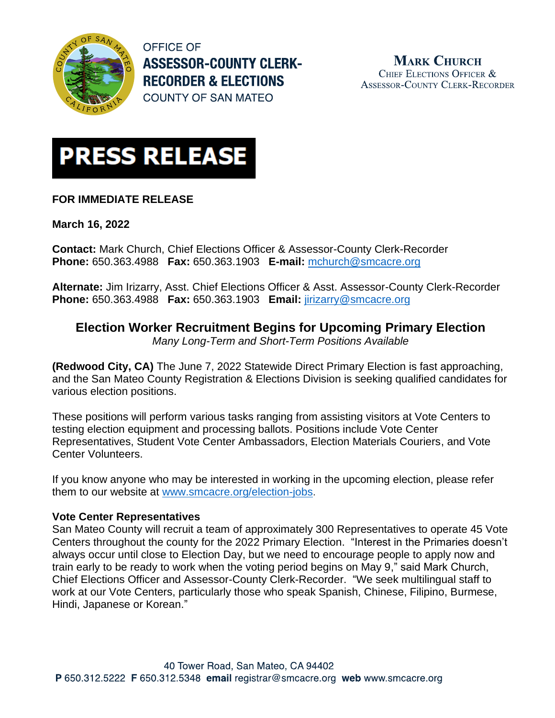

**OFFICE OF ASSESSOR-COUNTY CLERK-RECORDER & ELECTIONS COUNTY OF SAN MATEO** 

**MARK CHURCH** CHIEF ELECTIONS OFFICER & **ASSESSOR-COUNTY CLERK-RECORDER** 



## **FOR IMMEDIATE RELEASE**

**March 16, 2022**

**Contact:** Mark Church, Chief Elections Officer & Assessor-County Clerk-Recorder **Phone:** 650.363.4988 **Fax:** 650.363.1903 **E-mail:** [mchurch@smcacre.org](mailto:mchurch@smcacre.org)

**Alternate:** Jim Irizarry, Asst. Chief Elections Officer & Asst. Assessor-County Clerk-Recorder **Phone:** 650.363.4988 **Fax:** 650.363.1903 **Email:** [jirizarry@smcacre.org](mailto:jirizarry@smcacre.org)

# **Election Worker Recruitment Begins for Upcoming Primary Election**

*Many Long-Term and Short-Term Positions Available*

**(Redwood City, CA)** The June 7, 2022 Statewide Direct Primary Election is fast approaching, and the San Mateo County Registration & Elections Division is seeking qualified candidates for various election positions.

These positions will perform various tasks ranging from assisting visitors at Vote Centers to testing election equipment and processing ballots. Positions include Vote Center Representatives, Student Vote Center Ambassadors, Election Materials Couriers, and Vote Center Volunteers.

If you know anyone who may be interested in working in the upcoming election, please refer them to our website at [www.smcacre.org/election-jobs.](https://www.smcacre.org/election-jobs)

### **Vote Center Representatives**

San Mateo County will recruit a team of approximately 300 Representatives to operate 45 Vote Centers throughout the county for the 2022 Primary Election. "Interest in the Primaries doesn't always occur until close to Election Day, but we need to encourage people to apply now and train early to be ready to work when the voting period begins on May 9," said Mark Church, Chief Elections Officer and Assessor-County Clerk-Recorder. "We seek multilingual staff to work at our Vote Centers, particularly those who speak Spanish, Chinese, Filipino, Burmese, Hindi, Japanese or Korean."